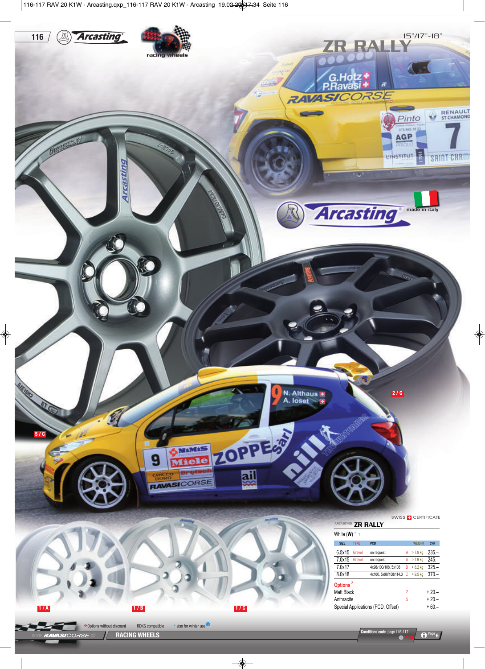